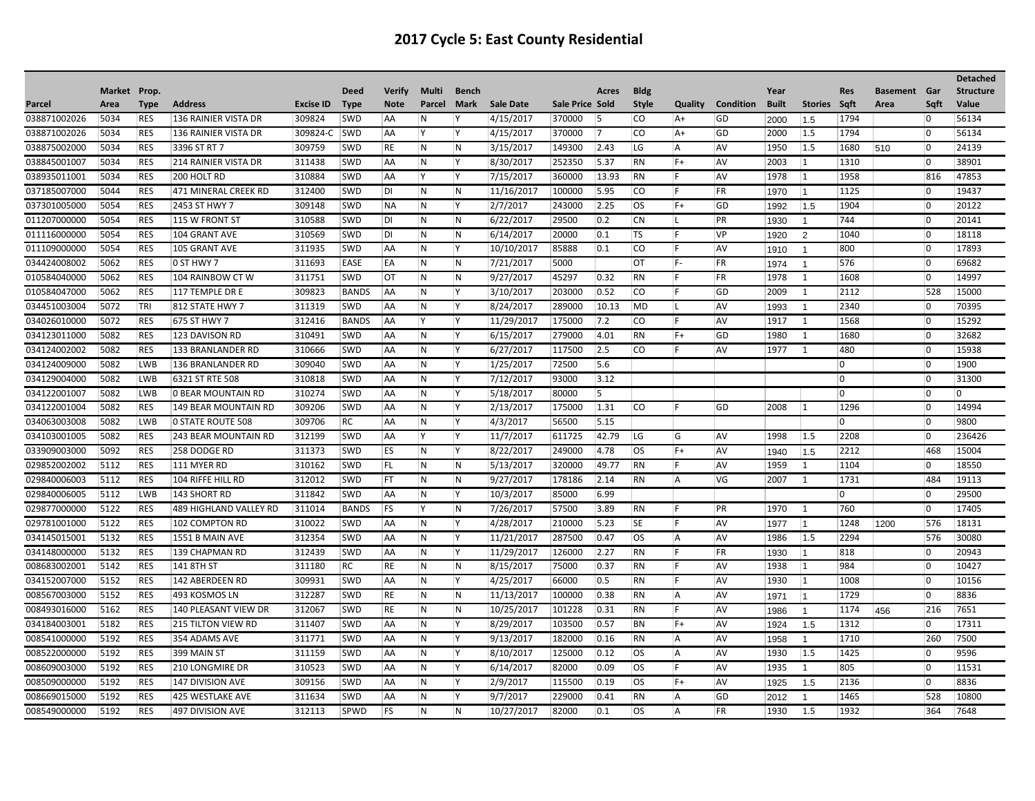|              |              |             |                               |                  |              |               |                         |              |                  |                 |                |              |          |                  |              |                |                |                     |                | <b>Detached</b>  |
|--------------|--------------|-------------|-------------------------------|------------------|--------------|---------------|-------------------------|--------------|------------------|-----------------|----------------|--------------|----------|------------------|--------------|----------------|----------------|---------------------|----------------|------------------|
|              | Market Prop. |             |                               |                  | <b>Deed</b>  | <b>Verify</b> | Multi                   | <b>Bench</b> |                  |                 | Acres          | <b>Bldg</b>  |          |                  | Year         |                | <b>Res</b>     | <b>Basement</b> Gar |                | <b>Structure</b> |
| Parcel       | Area         | <b>Type</b> | <b>Address</b>                | <b>Excise ID</b> | <b>Type</b>  | <b>Note</b>   | Parcel                  | Mark         | <b>Sale Date</b> | Sale Price Sold |                | <b>Style</b> | Quality  | <b>Condition</b> | <b>Built</b> | <b>Stories</b> | Saft           | Area                | Sqft           | <b>Value</b>     |
| 038871002026 | 5034         | <b>RES</b>  | 136 RAINIER VISTA DR          | 309824           | SWD          | AA            | N                       | <b>V</b>     | 4/15/2017        | 370000          | 15             | co           | A+       | GD               | 2000         | 1.5            | 1794           |                     | 0              | 56134            |
| 038871002026 | 5034         | <b>RES</b>  | 136 RAINIER VISTA DR          | 309824-C         | <b>SWD</b>   | AA            | ΙY.                     | ΙY.          | 4/15/2017        | 370000          | $\overline{7}$ | CO           | A+       | GD               | 2000         | 1.5            | 1794           |                     | 10             | 56134            |
| 038875002000 | 5034         | <b>RES</b>  | 3396 ST RT 7                  | 309759           | <b>SWD</b>   | RE            | IN.                     | N            | 3/15/2017        | 149300          | 2.43           | LG.          | ΙA.      | AV               | 1950         | 1.5            | 1680           | 510                 | $\overline{0}$ | 24139            |
| 038845001007 | 5034         | <b>RES</b>  | <b>214 RAINIER VISTA DR</b>   | 311438           | <b>SWD</b>   | AA            | N                       | Y.           | 8/30/2017        | 252350          | 5.37           | RN           | $ F+$    | <b>AV</b>        | 2003         | 1              | 1310           |                     | 10             | 38901            |
| 038935011001 | 5034         | <b>RES</b>  | 200 HOLT RD                   | 310884           | <b>SWD</b>   | AA            | Y                       | lY.          | 7/15/2017        | 360000          | 13.93          | RN           | IF.      | <b>AV</b>        | 1978         | $\vert$ 1      | 1958           |                     | 816            | 47853            |
| 037185007000 | 5044         | <b>RES</b>  | 471 MINERAL CREEK RD          | 312400           | <b>SWD</b>   | DI            | N                       | N            | 11/16/2017       | 100000          | 5.95           | co           | F        | FR               | 1970         | $\vert$ 1      | 1125           |                     | 0              | 19437            |
| 037301005000 | 5054         | <b>RES</b>  | 2453 ST HWY 7                 | 309148           | <b>SWD</b>   | <b>NA</b>     | N                       | Y.           | 2/7/2017         | 243000          | 2.25           | los          | $F+$     | GD               | 1992         | 1.5            | 1904           |                     | 0              | 20122            |
| 011207000000 | 5054         | <b>RES</b>  | 115 W FRONT ST                | 310588           | <b>SWD</b>   | DI            | N                       | N            | 6/22/2017        | 29500           | 0.2            | <b>CN</b>    | IL.      | PR               | 1930         | $\overline{1}$ | 744            |                     | $ 0\rangle$    | 20141            |
| 011116000000 | 5054         | <b>RES</b>  | 104 GRANT AVE                 | 310569           | <b>SWD</b>   | DI            | IN.                     | N            | 6/14/2017        | 20000           | 0.1            | <b>TS</b>    | IF.      | VP               | 1920         | 2              | 1040           |                     | $\overline{0}$ | 18118            |
| 011109000000 | 5054         | <b>RES</b>  | 105 GRANT AVE                 | 311935           | SWD          | AA            | N                       | ΙY.          | 10/10/2017       | 85888           | 0.1            | <b>CO</b>    | F        | <b>AV</b>        | 1910         | $\overline{1}$ | 800            |                     | 0              | 17893            |
| 034424008002 | 5062         | <b>RES</b>  | 0 ST HWY 7                    | 311693           | <b>EASE</b>  | EA            | N                       | N            | 7/21/2017        | 5000            |                | <b>OT</b>    | IF-      | FR               | 1974         | $\overline{1}$ | 576            |                     | $ 0\rangle$    | 69682            |
| 010584040000 | 5062         | <b>RES</b>  | 104 RAINBOW CT W              | 311751           | <b>SWD</b>   | <b>OT</b>     | IN.                     | N            | 9/27/2017        | 45297           | 0.32           | RN           | IF.      | <b>FR</b>        | 1978         | 1              | 1608           |                     | $\overline{0}$ | 14997            |
| 010584047000 | 5062         | <b>RES</b>  | 117 TEMPLE DR E               | 309823           | <b>BANDS</b> | AA            | IN.                     | Y.           | 3/10/2017        | 203000          | 0.52           | lco          | IF.      | GD               | 2009         | 1              | 2112           |                     | 528            | 15000            |
| 034451003004 | 5072         | TRI         | 812 STATE HWY 7               | 311319           | <b>SWD</b>   | AA            | N                       | lY.          | 8/24/2017        | 289000          | 10.13          | <b>IMD</b>   | IL.      | <b>AV</b>        | 1993         | $\overline{1}$ | 2340           |                     | 10             | 70395            |
| 034026010000 | 5072         | <b>RES</b>  | 675 ST HWY 7                  | 312416           | <b>BANDS</b> | AA            | l Y                     | l Y          | 11/29/2017       | 175000          | 7.2            | co           | F        | <b>AV</b>        | 1917         | $\mathbf{1}$   | 1568           |                     | 0              | 15292            |
| 034123011000 | 5082         | <b>RES</b>  | 123 DAVISON RD                | 310491           | SWD          | AA            | N                       | Y            | 6/15/2017        | 279000          | 4.01           | RN           | $ F+$    | GD               | 1980         | 1              | 1680           |                     | $\Omega$       | 32682            |
| 034124002002 | 5082         | <b>RES</b>  | 133 BRANLANDER RD             | 310666           | <b>SWD</b>   | <b>AA</b>     | IN.                     | ΙY.          | 6/27/2017        | 117500          | 2.5            | lco          | IF       | <b>AV</b>        | 1977         | 1              | 480            |                     | 10             | 15938            |
| 034124009000 | 5082         | <b>LWB</b>  | 136 BRANLANDER RD             | 309040           | <b>SWD</b>   | <b>AA</b>     | IN.                     | l Y          | 1/25/2017        | 72500           | 5.6            |              |          |                  |              |                | $\overline{0}$ |                     | $\overline{0}$ | 1900             |
| 034129004000 | 5082         | <b>LWB</b>  | 6321 ST RTE 508               | 310818           | <b>SWD</b>   | AA            | N                       | Y.           | 7/12/2017        | 93000           | 3.12           |              |          |                  |              |                | 0              |                     | 0              | 31300            |
| 034122001007 | 5082         | <b>LWB</b>  | 0 BEAR MOUNTAIN RD            | 310274           | <b>SWD</b>   | AA            | N                       | İΥ.          | 5/18/2017        | 80000           | 15.            |              |          |                  |              |                | 0              |                     | $ 0\rangle$    | 0                |
| 034122001004 | 5082         | <b>RES</b>  | 149 BEAR MOUNTAIN RD          | 309206           | SWD          | AA            | N                       | l Y          | 2/13/2017        | 175000          | 1.31           | <b>CO</b>    | Ŀ        | GD               | 2008         | 1              | 1296           |                     | 0              | 14994            |
| 034063003008 | 5082         | <b>LWB</b>  | 0 STATE ROUTE 508             | 309706           | RC           | AA            | N                       | Y.           | 4/3/2017         | 56500           | 5.15           |              |          |                  |              |                | 0              |                     | 0              | 9800             |
| 034103001005 | 5082         | <b>RES</b>  | 243 BEAR MOUNTAIN RD          | 312199           | <b>SWD</b>   | <b>AA</b>     | Y                       | Y            | 11/7/2017        | 611725          | 42.79          | <b>LG</b>    | ∣G       | <b>AV</b>        | 1998         | 1.5            | 2208           |                     | 10             | 236426           |
| 033909003000 | 5092         | <b>RES</b>  | 258 DODGE RD                  | 311373           | <b>SWD</b>   | ES            | IN.                     | ١Y           | 8/22/2017        | 249000          | 4.78           | los          | $F+$     | <b>AV</b>        | 1940         | 1.5            | 2212           |                     | 468            | 15004            |
| 029852002002 | 5112         | <b>RES</b>  | 111 MYER RD                   | 310162           | <b>SWD</b>   | FL            | N                       | N            | 5/13/2017        | 320000          | 49.77          | RN           | F        | AV               | 1959         | 1              | 1104           |                     | 0              | 18550            |
| 029840006003 | 5112         | <b>RES</b>  | 104 RIFFE HILL RD             | 312012           | <b>SWD</b>   | FT            | N                       | N            | 9/27/2017        | 178186          | 2.14           | RN           | A        | <b>VG</b>        | 2007         | 1              | 1731           |                     | 484            | 19113            |
| 029840006005 | 5112         | <b>LWB</b>  | 143 SHORT RD                  | 311842           | SWD          | <b>AA</b>     | IN.                     | l Y          | 10/3/2017        | 85000           | 6.99           |              |          |                  |              |                | $\overline{0}$ |                     | $\overline{0}$ | 29500            |
| 029877000000 | 5122         | <b>RES</b>  | <b>489 HIGHLAND VALLEY RD</b> | 311014           | <b>BANDS</b> | FS            | İΥ.                     | N            | 7/26/2017        | 57500           | 3.89           | RN           | IF.      | PR               | 1970         | 1              | 760            |                     | 0              | 17405            |
| 029781001000 | 5122         | <b>RES</b>  | 102 COMPTON RD                | 310022           | <b>SWD</b>   | AA            | $\mathsf{N}$            | lY.          | 4/28/2017        | 210000          | 5.23           | <b>SE</b>    | IF.      | <b>AV</b>        | 1977         | $ 1 \rangle$   | 1248           | 1200                | 576            | 18131            |
| 034145015001 | 5132         | <b>RES</b>  | 1551 B MAIN AVE               | 312354           | SWD          | AA            | IN.                     | l Y          | 11/21/2017       | 287500          | 0.47           | los          | <b>A</b> | <b>AV</b>        | 1986         | 1.5            | 2294           |                     | 576            | 30080            |
| 034148000000 | 5132         | <b>RES</b>  | 139 CHAPMAN RD                | 312439           | <b>SWD</b>   | AA            | $\overline{\mathsf{N}}$ | Y.           | 11/29/2017       | 126000          | 2.27           | RN           | F        | FR               | 1930         | $\vert$ 1      | 818            |                     | 0              | 20943            |
| 008683002001 | 5142         | <b>RES</b>  | 141 8TH ST                    | 311180           | RC           | RE            | IN.                     | IN.          | 8/15/2017        | 75000           | 0.37           | ∣RN          | IF.      | <b>AV</b>        | 1938         | $\vert$ 1      | 984            |                     | 10             | 10427            |
| 034152007000 | 5152         | <b>RES</b>  | 142 ABERDEEN RD               | 309931           | <b>SWD</b>   | <b>AA</b>     | IN.                     | l Y          | 4/25/2017        | 66000           | 0.5            | RN           | IF.      | <b>AV</b>        | 1930         | $\vert$ 1      | 1008           |                     | $\overline{0}$ | 10156            |
| 008567003000 | 5152         | <b>RES</b>  | 493 KOSMOS LN                 | 312287           | <b>SWD</b>   | RE            | N                       | N            | 11/13/2017       | 100000          | 0.38           | RN           | A        | <b>AV</b>        | 1971         | 1              | 1729           |                     | 0              | 8836             |
| 008493016000 | 5162         | <b>RES</b>  | 140 PLEASANT VIEW DR          | 312067           | <b>SWD</b>   | RE            | N                       | N            | 10/25/2017       | 101228          | 0.31           | RN           | IF.      | <b>AV</b>        | 1986         | $\overline{1}$ | 1174           | 456                 | 216            | 7651             |
| 034184003001 | 5182         | <b>RES</b>  | <b>215 TILTON VIEW RD</b>     | 311407           | <b>SWD</b>   | AA            | N                       | l Y          | 8/29/2017        | 103500          | 0.57           | BN           | $ F+$    | <b>AV</b>        | 1924         | 1.5            | 1312           |                     | 0              | 17311            |
| 008541000000 | 5192         | <b>RES</b>  | 354 ADAMS AVE                 | 311771           | <b>SWD</b>   | AA            | N                       | Y.           | 9/13/2017        | 182000          | 0.16           | RN           | A        | <b>AV</b>        | 1958         | $\overline{1}$ | 1710           |                     | 260            | 7500             |
| 008522000000 | 5192         | <b>RES</b>  | 399 MAIN ST                   | 311159           | <b>SWD</b>   | AA            | N                       | ΙY.          | 8/10/2017        | 125000          | 0.12           | los          | ∣A       | <b>AV</b>        | 1930         | 1.5            | 1425           |                     | 10             | 9596             |
| 008609003000 | 5192         | <b>RES</b>  | 210 LONGMIRE DR               | 310523           | <b>SWD</b>   | AA            | IN.                     | l Y          | 6/14/2017        | 82000           | 0.09           | los          | IF.      | <b>AV</b>        | 1935         | 1              | 805            |                     | $\overline{0}$ | 11531            |
| 008509000000 | 5192         | <b>RES</b>  | 147 DIVISION AVE              | 309156           | SWD          | AA            | N                       | Y.           | 2/9/2017         | 115500          | 0.19           | los          | $ F+$    | AV               | 1925         | 1.5            | 2136           |                     | 0              | 8836             |
| 008669015000 | 5192         | <b>RES</b>  | <b>425 WESTLAKE AVE</b>       | 311634           | SWD          | AA            | N                       | lY.          | 9/7/2017         | 229000          | 0.41           | RN           | A        | GD               | 2012         | $\mathbf{1}$   | 1465           |                     | 528            | 10800            |
| 008549000000 | 5192         | <b>RES</b>  | <b>497 DIVISION AVE</b>       | 312113           | SPWD         | <b>FS</b>     | IN.                     | N            | 10/27/2017       | 82000           | 0.1            | los          | <b>A</b> | <b>FR</b>        | 1930         | 1.5            | 1932           |                     | 364            | 7648             |
|              |              |             |                               |                  |              |               |                         |              |                  |                 |                |              |          |                  |              |                |                |                     |                |                  |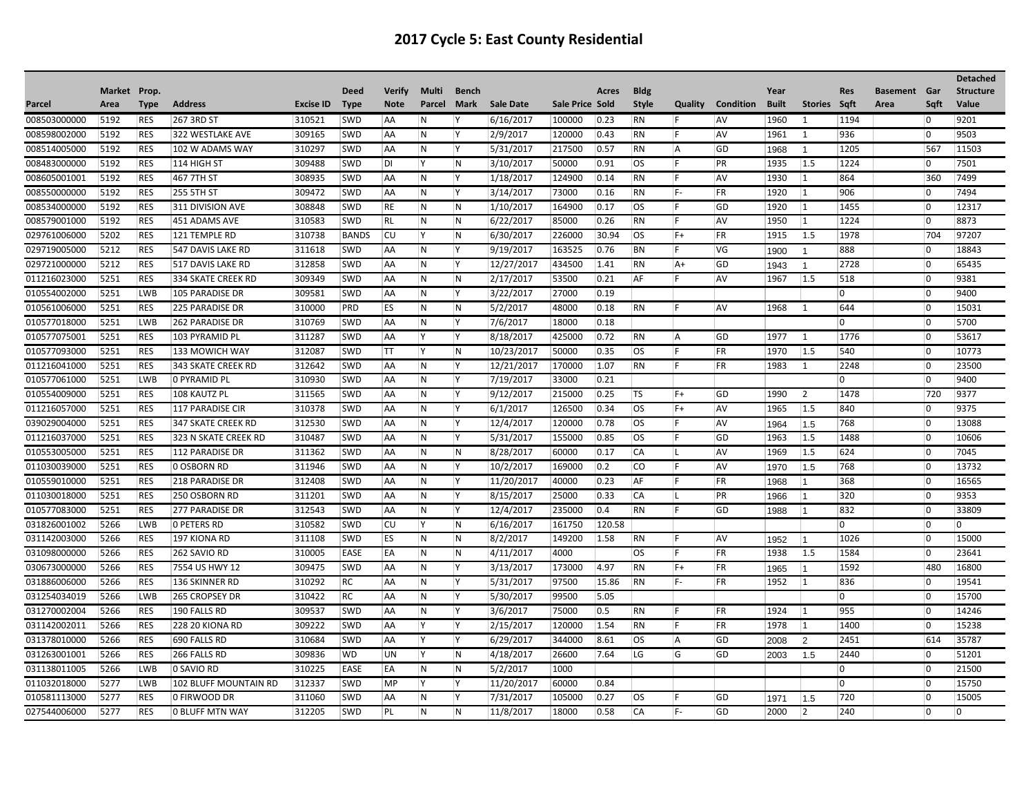|              |              |             |                        |                  |              |               |        |                         |                  |                 |        |              |          |                  |              |                |                |                     |                | <b>Detached</b>  |
|--------------|--------------|-------------|------------------------|------------------|--------------|---------------|--------|-------------------------|------------------|-----------------|--------|--------------|----------|------------------|--------------|----------------|----------------|---------------------|----------------|------------------|
|              | Market Prop. |             |                        |                  | <b>Deed</b>  | <b>Verify</b> | Multi  | Bench                   |                  |                 | Acres  | <b>Bldg</b>  |          |                  | Year         |                | <b>Res</b>     | <b>Basement</b> Gar |                | <b>Structure</b> |
| Parcel       | Area         | <b>Type</b> | <b>Address</b>         | <b>Excise ID</b> | Type         | <b>Note</b>   | Parcel | <b>Mark</b>             | <b>Sale Date</b> | Sale Price Sold |        | <b>Style</b> | Quality  | <b>Condition</b> | <b>Built</b> | Stories Sqft   |                | Area                | Saft           | Value            |
| 008503000000 | 5192         | <b>RES</b>  | 267 3RD ST             | 310521           | <b>SWD</b>   | AA            | IN.    | ΙY.                     | 6/16/2017        | 100000          | 0.23   | RN           | IF.      | <b>AV</b>        | 1960         | 1              | 1194           |                     | 10             | 9201             |
| 008598002000 | 5192         | <b>RES</b>  | 322 WESTLAKE AVE       | 309165           | <b>SWD</b>   | AA            | IN.    | lY.                     | 2/9/2017         | 120000          | 0.43   | <b>RN</b>    | IF.      | <b>AV</b>        | 1961         | 1              | 936            |                     | 10             | 9503             |
| 008514005000 | 5192         | RES         | 102 W ADAMS WAY        | 310297           | SWD          | AA            | ∣N.    | ΙY.                     | 5/31/2017        | 217500          | 0.57   | RN           | ∣A       | GD               | 1968         | $\overline{1}$ | 1205           |                     | 567            | 11503            |
| 008483000000 | 5192         | <b>RES</b>  | $114$ HIGH ST          | 309488           | <b>SWD</b>   | DI            | İΥ.    | $\overline{\mathsf{N}}$ | 3/10/2017        | 50000           | 0.91   | los          | IF.      | PR               | 1935         | 1.5            | 1224           |                     | 10             | 7501             |
| 008605001001 | 5192         | <b>RES</b>  | 467 7TH ST             | 308935           | <b>SWD</b>   | AA            | N      | ΙY.                     | 1/18/2017        | 124900          | 0.14   | RN           | lF.      | AV               | 1930         | $ 1 \rangle$   | 864            |                     | 360            | 7499             |
| 008550000000 | 5192         | <b>RES</b>  | 255 5TH ST             | 309472           | <b>SWD</b>   | AA            | N      | ΙY.                     | 3/14/2017        | 73000           | 0.16   | RN           | IF-      | FR               | 1920         | 1              | 906            |                     | 0              | 7494             |
| 008534000000 | 5192         | <b>RES</b>  | 311 DIVISION AVE       | 308848           | <b>SWD</b>   | RE            | IN.    | IN.                     | 1/10/2017        | 164900          | 0.17   | los          | IF.      | GD               | 1920         | $\vert$ 1      | 1455           |                     | $\overline{0}$ | 12317            |
| 008579001000 | 5192         | <b>RES</b>  | 451 ADAMS AVE          | 310583           | <b>SWD</b>   | RL            | N.     | N                       | 6/22/2017        | 85000           | 0.26   | <b>RN</b>    | IF.      | <b>AV</b>        | 1950         | $\vert$ 1      | 1224           |                     | $\overline{0}$ | 8873             |
| 029761006000 | 5202         | <b>RES</b>  | 121 TEMPLE RD          | 310738           | <b>BANDS</b> | CU            | ΙY     | N                       | 6/30/2017        | 226000          | 30.94  | los          | $F+$     | <b>FR</b>        | 1915         | 1.5            | 1978           |                     | 704            | 97207            |
| 029719005000 | 5212         | <b>RES</b>  | 547 DAVIS LAKE RD      | 311618           | <b>SWD</b>   | AA            | N.     | Y                       | 9/19/2017        | 163525          | 0.76   | BN           | IF.      | VG               | 1900         | $\overline{1}$ | 888            |                     | 10             | 18843            |
| 029721000000 | 5212         | <b>RES</b>  | 517 DAVIS LAKE RD      | 312858           | <b>SWD</b>   | AA            | N.     | ΙY.                     | 12/27/2017       | 434500          | 1.41   | RN           | $ A+$    | GD               | 1943         | -1             | 2728           |                     | $\overline{0}$ | 65435            |
| 011216023000 | 5251         | <b>RES</b>  | 334 SKATE CREEK RD     | 309349           | <b>SWD</b>   | AA            | N      | N                       | 2/17/2017        | 53500           | 0.21   | AF           | IF.      | <b>AV</b>        | 1967         | 1.5            | 518            |                     | $ 0\rangle$    | 9381             |
| 010554002000 | 5251         | LWB         | 105 PARADISE DR        | 309581           | <b>SWD</b>   | AA            | N.     | Y                       | 3/22/2017        | 27000           | 0.19   |              |          |                  |              |                | $\overline{0}$ |                     | $\overline{0}$ | 9400             |
| 010561006000 | 5251         | <b>RES</b>  | <b>225 PARADISE DR</b> | 310000           | PRD          | <b>ES</b>     | IN.    | N                       | 5/2/2017         | 48000           | 0.18   | RN           | IF.      | AV               | 1968         | $\mathbf{1}$   | 644            |                     | $\overline{0}$ | 15031            |
| 010577018000 | 5251         | LWB         | <b>262 PARADISE DR</b> | 310769           | <b>SWD</b>   | AA            | N      | İΥ.                     | 7/6/2017         | 18000           | 0.18   |              |          |                  |              |                | 0              |                     | $\overline{0}$ | 5700             |
| 010577075001 | 5251         | <b>RES</b>  | 103 PYRAMID PL         | 311287           | <b>SWD</b>   | AA            | ΙY.    | Y                       | 8/18/2017        | 425000          | 0.72   | RN           | <b>A</b> | GD               | 1977         | 1              | 1776           |                     | 10             | 53617            |
| 010577093000 | 5251         | <b>RES</b>  | 133 MOWICH WAY         | 312087           | <b>SWD</b>   | ΙTΤ           | ΙY     | N                       | 10/23/2017       | 50000           | 0.35   | los          | IF.      | FR               | 1970         | 1.5            | 540            |                     | $ 0\rangle$    | 10773            |
| 011216041000 | 5251         | <b>RES</b>  | 343 SKATE CREEK RD     | 312642           | <b>SWD</b>   | AA            | N      | İΥ.                     | 12/21/2017       | 170000          | 1.07   | RN           | IF.      | FR               | 1983         | 1              | 2248           |                     | $ 0\rangle$    | 23500            |
| 010577061000 | 5251         | <b>LWB</b>  | O PYRAMID PL           | 310930           | <b>SWD</b>   | AA            | N      | Y                       | 7/19/2017        | 33000           | 0.21   |              |          |                  |              |                | 0              |                     | 0              | 9400             |
| 010554009000 | 5251         | <b>RES</b>  | 108 KAUTZ PL           | 311565           | <b>SWD</b>   | AA            | N      | Y                       | 9/12/2017        | 215000          | 0.25   | <b>TS</b>    | $F+$     | <b>GD</b>        | 1990         | $\overline{2}$ | 1478           |                     | 720            | 9377             |
| 011216057000 | 5251         | <b>RES</b>  | 117 PARADISE CIR       | 310378           | <b>SWD</b>   | AA            | IN.    | İΥ.                     | 6/1/2017         | 126500          | 0.34   | los          | $F+$     | <b>AV</b>        | 1965         | 1.5            | 840            |                     | 10             | 9375             |
| 039029004000 | 5251         | <b>RES</b>  | 347 SKATE CREEK RD     | 312530           | <b>SWD</b>   | AA            | IN.    | Y                       | 12/4/2017        | 120000          | 0.78   | los          | IF.      | <b>AV</b>        | 1964         | 1.5            | 768            |                     | 10             | 13088            |
| 011216037000 | 5251         | <b>RES</b>  | 323 N SKATE CREEK RD   | 310487           | <b>SWD</b>   | AA            | N      | İΥ.                     | 5/31/2017        | 155000          | 0.85   | los          | IF.      | GD               | 1963         | 1.5            | 1488           |                     | $\overline{0}$ | 10606            |
| 010553005000 | 5251         | <b>RES</b>  | 112 PARADISE DR        | 311362           | SWD          | AA            | IN.    | N                       | 8/28/2017        | 60000           | 0.17   | CA           | ΙL       | <b>AV</b>        | 1969         | 1.5            | 624            |                     | $\overline{0}$ | 7045             |
| 011030039000 | 5251         | <b>RES</b>  | 0 OSBORN RD            | 311946           | <b>SWD</b>   | AA            | N      | Y                       | 10/2/2017        | 169000          | 0.2    | lco          | IF.      | <b>AV</b>        | 1970         | 1.5            | 768            |                     | 10             | 13732            |
| 010559010000 | 5251         | <b>RES</b>  | <b>218 PARADISE DR</b> | 312408           | <b>SWD</b>   | AA            | N      | ΙY.                     | 11/20/2017       | 40000           | 0.23   | AF           | IF.      | FR               | 1968         | $\vert$ 1      | 368            |                     | $\overline{0}$ | 16565            |
| 011030018000 | 5251         | <b>RES</b>  | 250 OSBORN RD          | 311201           | <b>SWD</b>   | AA            | IN.    | İΥ.                     | 8/15/2017        | 25000           | 0.33   | CA           | ΙL       | PR               | 1966         | $\vert$ 1      | 320            |                     | $\overline{0}$ | 9353             |
| 010577083000 | 5251         | <b>RES</b>  | <b>277 PARADISE DR</b> | 312543           | <b>SWD</b>   | <b>AA</b>     | N.     | İΥ.                     | 12/4/2017        | 235000          | 0.4    | RN           | l F      | GD               | 1988         | 11             | 832            |                     | 10             | 33809            |
| 031826001002 | 5266         | LWB         | O PETERS RD            | 310582           | <b>SWD</b>   | CU            | İΥ     | N                       | 6/16/2017        | 161750          | 120.58 |              |          |                  |              |                | 0              |                     | $\overline{0}$ | 10               |
| 031142003000 | 5266         | <b>RES</b>  | 197 KIONA RD           | 311108           | <b>SWD</b>   | ES            | IN.    | N                       | 8/2/2017         | 149200          | 1.58   | RN           | IF.      | <b>AV</b>        | 1952         | $\vert$ 1      | 1026           |                     | 10             | 15000            |
| 031098000000 | 5266         | <b>RES</b>  | 262 SAVIO RD           | 310005           | EASE         | <b>EA</b>     | IN.    | N                       | 4/11/2017        | 4000            |        | los          | IF.      | <b>FR</b>        | 1938         | 1.5            | 1584           |                     | 10             | 23641            |
| 030673000000 | 5266         | <b>RES</b>  | 7554 US HWY 12         | 309475           | <b>SWD</b>   | AA            | N      | İΥ.                     | 3/13/2017        | 173000          | 4.97   | RN           | $ F+$    | FR               | 1965         | $\vert$ 1      | 1592           |                     | 480            | 16800            |
| 031886006000 | 5266         | <b>RES</b>  | 136 SKINNER RD         | 310292           | RC           | AA            | N      | İΥ.                     | 5/31/2017        | 97500           | 15.86  | RN           | IF-      | FR               | 1952         | $ 1 \rangle$   | 836            |                     | 10             | 19541            |
| 031254034019 | 5266         | <b>LWB</b>  | <b>265 CROPSEY DR</b>  | 310422           | RC           | AA            | N      | İΥ.                     | 5/30/2017        | 99500           | 5.05   |              |          |                  |              |                | 0              |                     | 0              | 15700            |
| 031270002004 | 5266         | <b>RES</b>  | 190 FALLS RD           | 309537           | <b>SWD</b>   | AA            | N      | İΥ.                     | 3/6/2017         | 75000           | 0.5    | RN           | IF.      | <b>FR</b>        | 1924         | $\vert$ 1      | 955            |                     | $\overline{0}$ | 14246            |
| 031142002011 | 5266         | <b>RES</b>  | 228 20 KIONA RD        | 309222           | <b>SWD</b>   | AA            | lY.    | İΥ.                     | 2/15/2017        | 120000          | 1.54   | RN           | IF.      | <b>FR</b>        | 1978         | $\vert$ 1      | 1400           |                     | $\overline{0}$ | 15238            |
| 031378010000 | 5266         | <b>RES</b>  | 690 FALLS RD           | 310684           | <b>SWD</b>   | AA            | İΥ     | İΥ.                     | 6/29/2017        | 344000          | 8.61   | los          | A        | GD               | 2008         | $\overline{2}$ | 2451           |                     | 614            | 35787            |
| 031263001001 | 5266         | RES         | 266 FALLS RD           | 309836           | WD           | UN            | ΙY.    | N                       | 4/18/2017        | 26600           | 7.64   | LG           | G        | GD               | 2003         | 1.5            | 2440           |                     | 10             | 51201            |
| 031138011005 | 5266         | LWB         | 0 SAVIO RD             | 310225           | EASE         | EA            | IN.    | N                       | 5/2/2017         | 1000            |        |              |          |                  |              |                | 0              |                     | $\overline{0}$ | 21500            |
| 011032018000 | 5277         | <b>LWB</b>  | 102 BLUFF MOUNTAIN RD  | 312337           | <b>SWD</b>   | MP            | Y      | Y                       | 11/20/2017       | 60000           | 0.84   |              |          |                  |              |                | 0              |                     | 0              | 15750            |
| 010581113000 | 5277         | <b>RES</b>  | 0 FIRWOOD DR           | 311060           | <b>SWD</b>   | AA            | N      | İΥ.                     | 7/31/2017        | 105000          | 0.27   | los          | ١F       | GD               | 1971         | 1.5            | 720            |                     | $\overline{0}$ | 15005            |
| 027544006000 | 5277         | <b>RES</b>  | 0 BLUFF MTN WAY        | 312205           | <b>SWD</b>   | PL            | IN.    | N                       | 11/8/2017        | 18000           | 0.58   | <b>CA</b>    | IF-      | GD               | 2000         | $\overline{2}$ | 240            |                     | 10             | $\overline{0}$   |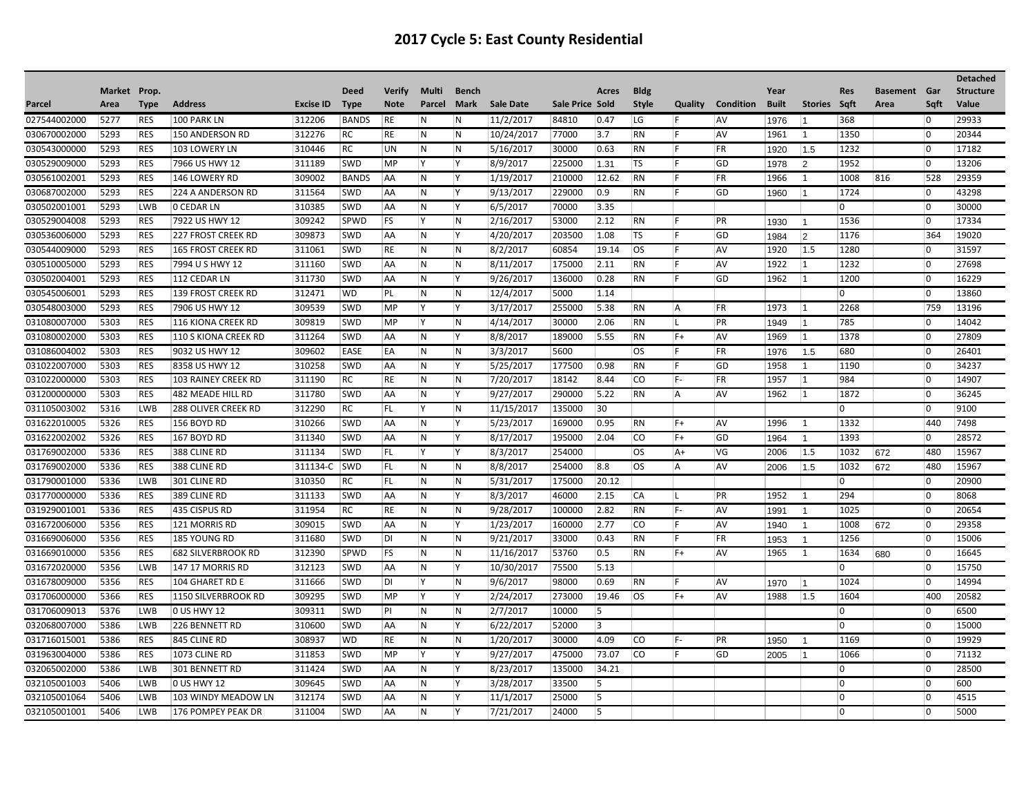## **2017 Cycle 5: East County Residential**

|              |              |             |                            |                  |              |             |                         |              |            |                 |       |             |                |           |              |                |                |                     |                | <b>Detached</b>  |
|--------------|--------------|-------------|----------------------------|------------------|--------------|-------------|-------------------------|--------------|------------|-----------------|-------|-------------|----------------|-----------|--------------|----------------|----------------|---------------------|----------------|------------------|
|              | Market Prop. |             |                            |                  | Deed         | Verify      | Multi                   | <b>Bench</b> |            |                 | Acres | <b>Bldg</b> |                |           | Year         |                | <b>Res</b>     | <b>Basement</b> Gar |                | <b>Structure</b> |
| Parcel       | Area         | <b>Type</b> | <b>Address</b>             | <b>Excise ID</b> | <b>Type</b>  | <b>Note</b> | Parcel                  | <b>Mark</b>  | Sale Date  | Sale Price Sold |       | Style       | <b>Quality</b> | Condition | <b>Built</b> | <b>Stories</b> | Saft           | Area                | Saft           | Value            |
| 027544002000 | 5277         | <b>RES</b>  | 100 PARK LN                | 312206           | <b>BANDS</b> | RE          | IN.                     | N            | 11/2/2017  | 84810           | 0.47  | ILG.        | ١F             | <b>AV</b> | 1976         | $\vert$ 1      | 368            |                     | 10             | 29933            |
| 030670002000 | 5293         | <b>RES</b>  | 150 ANDERSON RD            | 312276           | RC           | RE          | IN.                     | N            | 10/24/2017 | 77000           | 3.7   | RN          | IF.            | <b>AV</b> | 1961         | 1              | 1350           |                     | 10             | 20344            |
| 030543000000 | 5293         | <b>RES</b>  | 103 LOWERY LN              | 310446           | RC           | UN          | N                       | N            | 5/16/2017  | 30000           | 0.63  | RN          | IF.            | FR        | 1920         | 1.5            | 1232           |                     | 0              | 17182            |
| 030529009000 | 5293         | <b>RES</b>  | 7966 US HWY 12             | 311189           | <b>SWD</b>   | <b>MP</b>   | ΙY.                     | ΙY.          | 8/9/2017   | 225000          | 1.31  | ∣TS         | IF.            | GD        | 1978         | $\overline{2}$ | 1952           |                     | 10             | 13206            |
| 030561002001 | 5293         | <b>RES</b>  | 146 LOWERY RD              | 309002           | <b>BANDS</b> | AA          | N                       | İΥ.          | 1/19/2017  | 210000          | 12.62 | RN          | F              | FR        | 1966         | 1              | 1008           | 816                 | 528            | 29359            |
| 030687002000 | 5293         | <b>RES</b>  | 224 A ANDERSON RD          | 311564           | SWD          | AA          | N                       | Y            | 9/13/2017  | 229000          | 0.9   | RN          | IF.            | GD        | 1960         | 1              | 1724           |                     | 0              | 43298            |
| 030502001001 | 5293         | <b>LWB</b>  | <b>0 CEDAR LN</b>          | 310385           | SWD          | AA          | N                       | Y            | 6/5/2017   | 70000           | 3.35  |             |                |           |              |                | 0              |                     | 10             | 30000            |
| 030529004008 | 5293         | <b>RES</b>  | 7922 US HWY 12             | 309242           | SPWD         | FS          | Y                       | N            | 2/16/2017  | 53000           | 2.12  | RN          | F              | PR        | 1930         | -1             | 1536           |                     | $ 0\rangle$    | 17334            |
| 030536006000 | 5293         | <b>RES</b>  | <b>227 FROST CREEK RD</b>  | 309873           | <b>SWD</b>   | <b>AA</b>   | IN.                     | lY.          | 4/20/2017  | 203500          | 1.08  | <b>TS</b>   | IF.            | GD        | 1984         | 2              | 1176           |                     | 364            | 19020            |
| 030544009000 | 5293         | <b>RES</b>  | <b>165 FROST CREEK RD</b>  | 311061           | <b>SWD</b>   | RE          | IN.                     | N            | 8/2/2017   | 60854           | 19.14 | los         | IF.            | <b>AV</b> | 1920         | 1.5            | 1280           |                     | 0              | 31597            |
| 030510005000 | 5293         | <b>RES</b>  | 7994 U S HWY 12            | 311160           | <b>SWD</b>   | AA          | N                       | N            | 8/11/2017  | 175000          | 2.11  | RN          | IF.            | <b>AV</b> | 1922         | 1              | 1232           |                     | 10             | 27698            |
| 030502004001 | 5293         | <b>RES</b>  | 112 CEDAR LN               | 311730           | <b>SWD</b>   | <b>AA</b>   | IN.                     | IY.          | 9/26/2017  | 136000          | 0.28  | <b>RN</b>   | IF             | GD        | 1962         | $\vert$ 1      | 1200           |                     | 10             | 16229            |
| 030545006001 | 5293         | <b>RES</b>  | 139 FROST CREEK RD         | 312471           | <b>WD</b>    | PL          | IN.                     | N            | 12/4/2017  | 5000            | 1.14  |             |                |           |              |                | 0              |                     | 0              | 13860            |
| 030548003000 | 5293         | <b>RES</b>  | 7906 US HWY 12             | 309539           | SWD          | MP          | İΥ                      | lY.          | 3/17/2017  | 255000          | 5.38  | RN          | A              | FR        | 1973         | $\vert$ 1      | 2268           |                     | 759            | 13196            |
| 031080007000 | 5303         | <b>RES</b>  | 116 KIONA CREEK RD         | 309819           | <b>SWD</b>   | <b>MP</b>   | ΙY.                     | N            | 4/14/2017  | 30000           | 2.06  | <b>RN</b>   | IL.            | PR        | 1949         | $\vert$ 1      | 785            |                     | 0              | 14042            |
| 031080002000 | 5303         | <b>RES</b>  | 110 S KIONA CREEK RD       | 311264           | SWD          | AA          | N                       | Y            | 8/8/2017   | 189000          | 5.55  | RN          | $ F+$          | <b>AV</b> | 1969         | 1              | 1378           |                     | 0              | 27809            |
| 031086004002 | 5303         | <b>RES</b>  | 9032 US HWY 12             | 309602           | <b>EASE</b>  | EA          | N                       | N            | 3/3/2017   | 5600            |       | los         | IF.            | FR        | 1976         | 1.5            | 680            |                     | $ 0\rangle$    | 26401            |
| 031022007000 | 5303         | <b>RES</b>  | 8358 US HWY 12             | 310258           | SWD          | AA          | N                       | ١Y           | 5/25/2017  | 177500          | 0.98  | RN          | F              | GD        | 1958         | 1              | 1190           |                     | $\overline{0}$ | 34237            |
| 031022000000 | 5303         | <b>RES</b>  | 103 RAINEY CREEK RD        | 311190           | <b>RC</b>    | RE          | IN.                     | N            | 7/20/2017  | 18142           | 8.44  | lco         | IF-            | <b>FR</b> | 1957         | $\vert$ 1      | 984            |                     | 0              | 14907            |
| 031200000000 | 5303         | <b>RES</b>  | 482 MEADE HILL RD          | 311780           | <b>SWD</b>   | <b>AA</b>   | IN.                     | lY.          | 9/27/2017  | 290000          | 5.22  | <b>RN</b>   | A              | <b>AV</b> | 1962         | $\vert$ 1      | 1872           |                     | 10             | 36245            |
| 031105003002 | 5316         | LWB         | <b>288 OLIVER CREEK RD</b> | 312290           | <b>RC</b>    | IFL         | İΥ                      | N            | 11/15/2017 | 135000          | 30    |             |                |           |              |                | $\overline{0}$ |                     | 0              | 9100             |
| 031622010005 | 5326         | <b>RES</b>  | 156 BOYD RD                | 310266           | SWD          | AA          | N                       | Y            | 5/23/2017  | 169000          | 0.95  | RN          | $F+$           | <b>AV</b> | 1996         | 1              | 1332           |                     | 440            | 7498             |
| 031622002002 | 5326         | <b>RES</b>  | 167 BOYD RD                | 311340           | SWD          | AA          | ∣N                      | ΙY.          | 8/17/2017  | 195000          | 2.04  | co          | IF+            | GD.       | 1964         | $\overline{1}$ | 1393           |                     | $ 0\rangle$    | 28572            |
| 031769002000 | 5336         | <b>RES</b>  | 388 CLINE RD               | 311134           | SWD          | IFL         | ΙY                      | l Y          | 8/3/2017   | 254000          |       | los         | A+             | l VG      | 2006         | 1.5            | 1032           | 672                 | 480            | 15967            |
| 031769002000 | 5336         | <b>RES</b>  | 388 CLINE RD               | 311134-C         | <b>SWD</b>   | FL          | N                       | N            | 8/8/2017   | 254000          | 8.8   | los         | A              | AV        | 2006         | 1.5            | 1032           | 672                 | 480            | 15967            |
| 031790001000 | 5336         | <b>LWB</b>  | 301 CLINE RD               | 310350           | RC           | FL          | N                       | N            | 5/31/2017  | 175000          | 20.12 |             |                |           |              |                | 0              |                     | 10             | 20900            |
| 031770000000 | 5336         | <b>RES</b>  | 389 CLINE RD               | 311133           | <b>SWD</b>   | AA          | $\overline{\mathsf{N}}$ | İΥ.          | 8/3/2017   | 46000           | 2.15  | <b>CA</b>   | ΙL             | PR        | 1952         | 1              | 294            |                     | $ 0\rangle$    | 8068             |
| 031929001001 | 5336         | <b>RES</b>  | 435 CISPUS RD              | 311954           | <b>RC</b>    | RE          | IN.                     | N            | 9/28/2017  | 100000          | 2.82  | <b>RN</b>   | IF-            | <b>AV</b> | 1991         | $\overline{1}$ | 1025           |                     | $\Omega$       | 20654            |
| 031672006000 | 5356         | <b>RES</b>  | 121 MORRIS RD              | 309015           | <b>SWD</b>   | <b>AA</b>   | IN.                     | lY.          | 1/23/2017  | 160000          | 2.77  | lco         | IF.            | <b>AV</b> | 1940         | $\overline{1}$ | 1008           | 672                 | 10             | 29358            |
| 031669006000 | 5356         | <b>RES</b>  | 185 YOUNG RD               | 311680           | <b>SWD</b>   | DI.         | IN.                     | N            | 9/21/2017  | 33000           | 0.43  | RN          | IF.            | <b>FR</b> | 1953         | $\overline{1}$ | 1256           |                     | $ 0\rangle$    | 15006            |
| 031669010000 | 5356         | <b>RES</b>  | <b>682 SILVERBROOK RD</b>  | 312390           | SPWD         | FS          | IN.                     | N            | 11/16/2017 | 53760           | 0.5   | RN          | IF+            | <b>AV</b> | 1965         | 1              | 1634           | 680                 | 10             | 16645            |
| 031672020000 | 5356         | LWB         | 147 17 MORRIS RD           | 312123           | <b>SWD</b>   | AA          | N                       | lY.          | 10/30/2017 | 75500           | 5.13  |             |                |           |              |                | 0              |                     | 10             | 15750            |
| 031678009000 | 5356         | <b>RES</b>  | 104 GHARET RD E            | 311666           | SWD          | <b>DI</b>   | İΥ                      | N            | 9/6/2017   | 98000           | 0.69  | <b>RN</b>   | F.             | <b>AV</b> | 1970         | $\vert$ 1      | 1024           |                     | $\overline{0}$ | 14994            |
| 031706000000 | 5366         | <b>RES</b>  | 1150 SILVERBROOK RD        | 309295           | <b>SWD</b>   | <b>MP</b>   | lY.                     | Y            | 2/24/2017  | 273000          | 19.46 | los         | $F+$           | AV        | 1988         | 1.5            | 1604           |                     | 400            | 20582            |
| 031706009013 | 5376         | <b>LWB</b>  | 0 US HWY 12                | 309311           | SWD          | P           | N                       | N            | 2/7/2017   | 10000           | 5     |             |                |           |              |                | 0              |                     | 0              | 6500             |
| 032068007000 | 5386         | LWB         | 226 BENNETT RD             | 310600           | SWD          | AA          | N                       | ΙY.          | 6/22/2017  | 52000           | 3     |             |                |           |              |                | 0              |                     | 0              | 15000            |
| 031716015001 | 5386         | <b>RES</b>  | 845 CLINE RD               | 308937           | <b>WD</b>    | RE          | N                       | N            | 1/20/2017  | 30000           | 4.09  | co          | F-             | PR        | 1950         | -1             | 1169           |                     | $ 0\rangle$    | 19929            |
| 031963004000 | 5386         | <b>RES</b>  | 1073 CLINE RD              | 311853           | SWD          | MP          | Y                       | Y            | 9/27/2017  | 475000          | 73.07 | <b>CO</b>   | IF.            | GD        | 2005         | $\vert$ 1      | 1066           |                     | $\overline{0}$ | 71132            |
| 032065002000 | 5386         | <b>LWB</b>  | 301 BENNETT RD             | 311424           | <b>SWD</b>   | <b>AA</b>   | $\overline{N}$          | ΙY.          | 8/23/2017  | 135000          | 34.21 |             |                |           |              |                | 0              |                     | 0              | 28500            |
| 032105001003 | 5406         | LWB         | 0 US HWY 12                | 309645           | <b>SWD</b>   | <b>AA</b>   | IN.                     | Y            | 3/28/2017  | 33500           | 15    |             |                |           |              |                | ۱n             |                     | 0              | 600              |
| 032105001064 | 5406         | <b>LWB</b>  | 103 WINDY MEADOW LN        | 312174           | <b>SWD</b>   | AA          | N                       | Y            | 11/1/2017  | 25000           | 15    |             |                |           |              |                | 0              |                     | 0              | 4515             |
| 032105001001 | 5406         | LWB         | 176 POMPEY PEAK DR         | 311004           | <b>SWD</b>   | <b>AA</b>   | IN.                     | lY.          | 7/21/2017  | 24000           | 15    |             |                |           |              |                | ۱0             |                     | 0              | 5000             |
|              |              |             |                            |                  |              |             |                         |              |            |                 |       |             |                |           |              |                |                |                     |                |                  |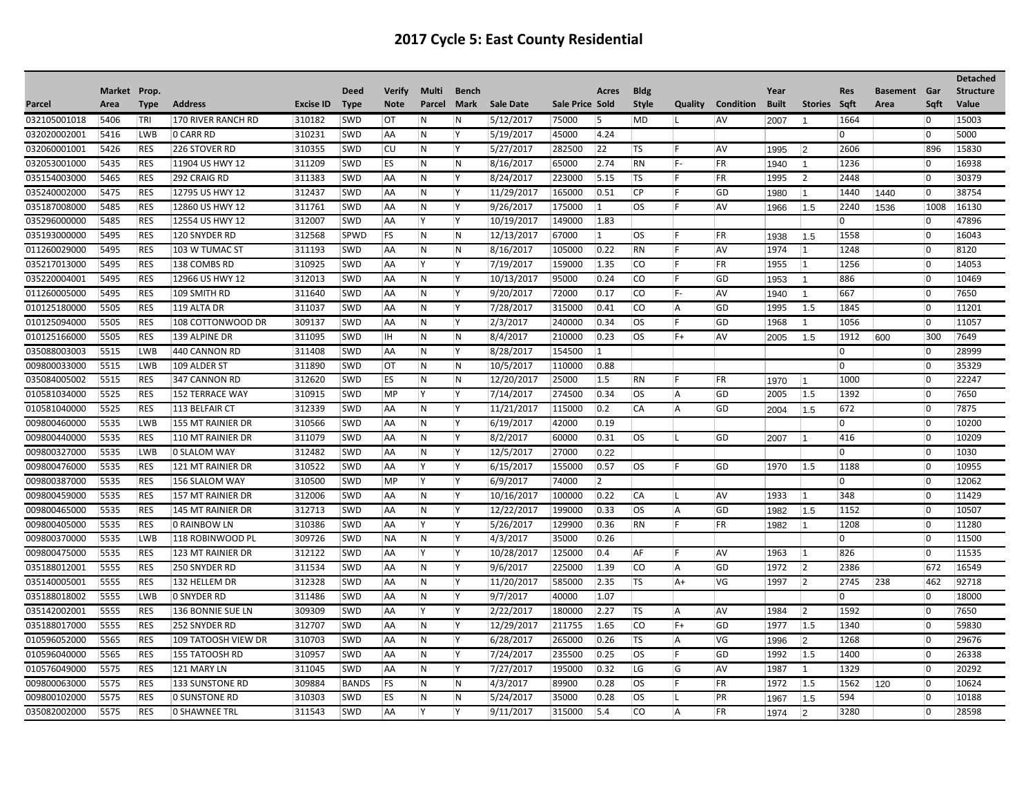|              |              |             |                      |                  |              |               |        |                         |                  |                 |                |              |              |                  |              |                |            |                     |                | <b>Detached</b>  |
|--------------|--------------|-------------|----------------------|------------------|--------------|---------------|--------|-------------------------|------------------|-----------------|----------------|--------------|--------------|------------------|--------------|----------------|------------|---------------------|----------------|------------------|
|              | Market Prop. |             |                      |                  | <b>Deed</b>  | <b>Verify</b> | Multi  | Bench                   |                  |                 | Acres          | <b>Bldg</b>  |              |                  | Year         |                | <b>Res</b> | <b>Basement</b> Gar |                | <b>Structure</b> |
| Parcel       | Area         | <b>Type</b> | <b>Address</b>       | <b>Excise ID</b> | Type         | <b>Note</b>   | Parcel | Mark                    | <b>Sale Date</b> | Sale Price Sold |                | <b>Style</b> | Quality      | <b>Condition</b> | <b>Built</b> | Stories Sqft   |            | Area                | Saft           | Value            |
| 032105001018 | 5406         | TRI         | 170 RIVER RANCH RD   | 310182           | <b>SWD</b>   | <b>OT</b>     | IN.    | l N                     | 5/12/2017        | 75000           | 15             | MD           | Ш            | <b>AV</b>        | 2007         | -1             | 1664       |                     | 10             | 15003            |
| 032020002001 | 5416         | <b>LWB</b>  | O CARR RD            | 310231           | <b>SWD</b>   | <b>AA</b>     | IN.    | lY.                     | 5/19/2017        | 45000           | 4.24           |              |              |                  |              |                | 0          |                     | 10             | 5000             |
| 032060001001 | 5426         | RES         | 226 STOVER RD        | 310355           | SWD          | CU            | ∣N.    | ΙY.                     | 5/27/2017        | 282500          | 22             | <b>TS</b>    | IF.          | <b>AV</b>        | 1995         | $ 2\rangle$    | 2606       |                     | 896            | 15830            |
| 032053001000 | 5435         | <b>RES</b>  | 11904 US HWY 12      | 311209           | <b>SWD</b>   | ES            | N      | $\overline{\mathsf{N}}$ | 8/16/2017        | 65000           | 2.74           | RN           | IF-          | FR               | 1940         | -1             | 1236       |                     | 10             | 16938            |
| 035154003000 | 5465         | <b>RES</b>  | 292 CRAIG RD         | 311383           | <b>SWD</b>   | AA            | N      | ΙY.                     | 8/24/2017        | 223000          | 5.15           | <b>TS</b>    | IF.          | FR               | 1995         | 2              | 2448       |                     | 0              | 30379            |
| 035240002000 | 5475         | <b>RES</b>  | 12795 US HWY 12      | 312437           | <b>SWD</b>   | AA            | N      | İΥ.                     | 11/29/2017       | 165000          | 0.51           | CP           | IF.          | GD               | 1980         | $\vert$ 1      | 1440       | 1440                | $ 0\rangle$    | 38754            |
| 035187008000 | 5485         | <b>RES</b>  | 12860 US HWY 12      | 311761           | <b>SWD</b>   | <b>AA</b>     | IN.    | İΥ.                     | 9/26/2017        | 175000          | $\vert$ 1      | los          | IF.          | <b>AV</b>        | 1966         | 1.5            | 2240       | 1536                | 1008           | 16130            |
| 035296000000 | 5485         | <b>RES</b>  | 12554 US HWY 12      | 312007           | <b>SWD</b>   | AA            | İΥ     | ΙY.                     | 10/19/2017       | 149000          | 1.83           |              |              |                  |              |                | 0          |                     | 10             | 47896            |
| 035193000000 | 5495         | <b>RES</b>  | 120 SNYDER RD        | 312568           | SPWD         | FS            | N      | N                       | 12/13/2017       | 67000           | $\vert$ 1      | los          | IF.          | <b>FR</b>        | 1938         | 1.5            | 1558       |                     | 10             | 16043            |
| 011260029000 | 5495         | <b>RES</b>  | $ 103 \>$ W TUMAC ST | 311193           | <b>SWD</b>   | AA            | N      | N                       | 8/16/2017        | 105000          | 0.22           | RN           | IF.          | <b>AV</b>        | 1974         | 1              | 1248       |                     | 10             | 8120             |
| 035217013000 | 5495         | <b>RES</b>  | 138 COMBS RD         | 310925           | <b>SWD</b>   | AA            | İΥ     | İΥ.                     | 7/19/2017        | 159000          | 1.35           | co           | IF.          | FR               | 1955         | 1              | 1256       |                     | $ 0\rangle$    | 14053            |
| 035220004001 | 5495         | <b>RES</b>  | 12966 US HWY 12      | 312013           | <b>SWD</b>   | AA            | N      | ΙY.                     | 10/13/2017       | 95000           | 0.24           | co           | IF.          | GD               | 1953         | $\overline{1}$ | 886        |                     | $ 0\rangle$    | 10469            |
| 011260005000 | 5495         | <b>RES</b>  | 109 SMITH RD         | 311640           | <b>SWD</b>   | AA            | N      | Y                       | 9/20/2017        | 72000           | 0.17           | lco          | IF-          | <b>AV</b>        | 1940         | $\overline{1}$ | 667        |                     | $\overline{0}$ | 7650             |
| 010125180000 | 5505         | <b>RES</b>  | 119 ALTA DR          | 311037           | <b>SWD</b>   | <b>AA</b>     | IN.    | ΙY.                     | 7/28/2017        | 315000          | 0.41           | lco          | <b>A</b>     | GD               | 1995         | 1.5            | 1845       |                     | $\overline{0}$ | 11201            |
| 010125094000 | 5505         | <b>RES</b>  | 108 COTTONWOOD DR    | 309137           | <b>SWD</b>   | AA            | N      | İΥ.                     | 2/3/2017         | 240000          | 0.34           | los          | IF.          | GD               | 1968         | 1              | 1056       |                     | $\overline{0}$ | 11057            |
| 010125166000 | 5505         | <b>RES</b>  | 139 ALPINE DR        | 311095           | <b>SWD</b>   | HH.           | IN.    | N                       | 8/4/2017         | 210000          | 0.23           | los          | $F+$         | <b>AV</b>        | 2005         | 1.5            | 1912       | 600                 | 300            | 7649             |
| 035088003003 | 5515         | LWB         | 440 CANNON RD        | 311408           | <b>SWD</b>   | AA            | N      | ΙY.                     | 8/28/2017        | 154500          | 1              |              |              |                  |              |                | 0          |                     | 10             | 28999            |
| 009800033000 | 5515         | <b>LWB</b>  | 109 ALDER ST         | 311890           | <b>SWD</b>   | OT            | N      | N                       | 10/5/2017        | 110000          | 0.88           |              |              |                  |              |                | 0          |                     | 0              | 35329            |
| 035084005002 | 5515         | <b>RES</b>  | 347 CANNON RD        | 312620           | <b>SWD</b>   | ES            | N      | N                       | 12/20/2017       | 25000           | 1.5            | RN           | IF.          | FR               | 1970         | $\vert$ 1      | 1000       |                     | 10             | 22247            |
| 010581034000 | 5525         | <b>RES</b>  | 152 TERRACE WAY      | 310915           | <b>SWD</b>   | MP            | Y      | ΙY.                     | 7/14/2017        | 274500          | 0.34           | los          | A            | GD               | 2005         | 1.5            | 1392       |                     | $\overline{0}$ | 7650             |
| 010581040000 | 5525         | <b>RES</b>  | 113 BELFAIR CT       | 312339           | <b>SWD</b>   | AA            | IN.    | İΥ.                     | 11/21/2017       | 115000          | 0.2            | <b>CA</b>    | <sup>A</sup> | GD               | 2004         | 1.5            | 672        |                     | 10             | 7875             |
| 009800460000 | 5535         | <b>LWB</b>  | 155 MT RAINIER DR    | 310566           | <b>SWD</b>   | AA            | IN.    | Y                       | 6/19/2017        | 42000           | 0.19           |              |              |                  |              |                | 0          |                     | $\overline{0}$ | 10200            |
| 009800440000 | 5535         | <b>RES</b>  | 110 MT RAINIER DR    | 311079           | <b>SWD</b>   | AA            | N      | İΥ.                     | 8/2/2017         | 60000           | 0.31           | los          | ΙL           | GD               | 2007         | ∣1             | 416        |                     | $\overline{0}$ | 10209            |
| 009800327000 | 5535         | LWB         | l0 SLALOM WAY        | 312482           | SWD          | AA            | IN.    | Y                       | 12/5/2017        | 27000           | 0.22           |              |              |                  |              |                | 0 I        |                     | $\overline{0}$ | 1030             |
| 009800476000 | 5535         | <b>RES</b>  | 121 MT RAINIER DR    | 310522           | <b>SWD</b>   | AA            | İΥ     | Y                       | 6/15/2017        | 155000          | 0.57           | los          | IF.          | GD               | 1970         | 1.5            | 1188       |                     | 10             | 10955            |
| 009800387000 | 5535         | <b>RES</b>  | 156 SLALOM WAY       | 310500           | <b>SWD</b>   | MP            | Y      | ΙY.                     | 6/9/2017         | 74000           | $\overline{2}$ |              |              |                  |              |                | 0          |                     | $ 0\rangle$    | 12062            |
| 009800459000 | 5535         | <b>RES</b>  | 157 MT RAINIER DR    | 312006           | <b>SWD</b>   | AA            | IN.    | İΥ.                     | 10/16/2017       | 100000          | 0.22           | CA           | ΙL           | <b>AV</b>        | 1933         | 1              | 348        |                     | $\overline{0}$ | 11429            |
| 009800465000 | 5535         | <b>RES</b>  | 145 MT RAINIER DR    | 312713           | <b>SWD</b>   | <b>AA</b>     | N.     | İΥ.                     | 12/22/2017       | 199000          | 0.33           | los          | <sup>A</sup> | GD               | 1982         | 1.5            | 1152       |                     | 10             | 10507            |
| 009800405000 | 5535         | <b>RES</b>  | O RAINBOW LN         | 310386           | <b>SWD</b>   | AA            | İΥ     | İΥ.                     | 5/26/2017        | 129900          | 0.36           | RN           | IF.          | <b>FR</b>        | 1982         | 11             | 1208       |                     | $\overline{0}$ | 11280            |
| 009800370000 | 5535         | <b>LWB</b>  | 118 ROBINWOOD PL     | 309726           | <b>SWD</b>   | NA            | IN.    | ΙY.                     | 4/3/2017         | 35000           | 0.26           |              |              |                  |              |                | 0          |                     | 10             | 11500            |
| 009800475000 | 5535         | <b>RES</b>  | 123 MT RAINIER DR    | 312122           | <b>SWD</b>   | AA            | ΙY     | Y                       | 10/28/2017       | 125000          | 0.4            | ∣AF          | IF.          | <b>AV</b>        | 1963         | $\vert$ 1      | 826        |                     | 10             | 11535            |
| 035188012001 | 5555         | <b>RES</b>  | 250 SNYDER RD        | 311534           | <b>SWD</b>   | AA            | N      | İΥ.                     | 9/6/2017         | 225000          | 1.39           | <b>CO</b>    | A            | GD               | 1972         | 2              | 2386       |                     | 672            | 16549            |
| 035140005001 | 5555         | <b>RES</b>  | 132 HELLEM DR        | 312328           | <b>SWD</b>   | AA            | N      | İΥ.                     | 11/20/2017       | 585000          | 2.35           | <b>TS</b>    | $ A+$        | VG               | 1997         | $\vert$ 2      | 2745       | 238                 | 462            | 92718            |
| 035188018002 | 5555         | <b>LWB</b>  | O SNYDER RD          | 311486           | <b>SWD</b>   | AA            | N      | İΥ.                     | 9/7/2017         | 40000           | 1.07           |              |              |                  |              |                | 0          |                     | 0              | 18000            |
| 035142002001 | 5555         | <b>RES</b>  | 136 BONNIE SUE LN    | 309309           | <b>SWD</b>   | AA            | ΙY.    | İΥ.                     | 2/22/2017        | 180000          | 2.27           | <b>TS</b>    | <b>A</b>     | <b>AV</b>        | 1984         | 2              | 1592       |                     | 10             | 7650             |
| 035188017000 | 5555         | <b>RES</b>  | 252 SNYDER RD        | 312707           | <b>SWD</b>   | AA            | N.     | İΥ.                     | 12/29/2017       | 211755          | 1.65           | lco          | $F+$         | GD               | 1977         | 1.5            | 1340       |                     | $\overline{0}$ | 59830            |
| 010596052000 | 5565         | <b>RES</b>  | 109 TATOOSH VIEW DR  | 310703           | <b>SWD</b>   | AA            | N      | İΥ.                     | 6/28/2017        | 265000          | 0.26           | TS.          | A            | VG               | 1996         | $ 2\rangle$    | 1268       |                     | 10             | 29676            |
| 010596040000 | 5565         | RES         | 155 TATOOSH RD       | 310957           | SWD          | AA            | N      | Y                       | 7/24/2017        | 235500          | 0.25           | los          | IF.          | <b>GD</b>        | 1992         | 1.5            | 1400       |                     | 10             | 26338            |
| 010576049000 | 5575         | <b>RES</b>  | 121 MARY LN          | 311045           | <b>SWD</b>   | AA            | IN.    | ΙY.                     | 7/27/2017        | 195000          | 0.32           | LG           | G            | <b>AV</b>        | 1987         | 1              | 1329       |                     | $\overline{0}$ | 20292            |
| 009800063000 | 5575         | <b>RES</b>  | 133 SUNSTONE RD      | 309884           | <b>BANDS</b> | FS            | N      | N                       | 4/3/2017         | 89900           | 0.28           | los          | F            | FR               | 1972         | 1.5            | 1562       | 120                 | 0              | 10624            |
| 009800102000 | 5575         | <b>RES</b>  | <b>0 SUNSTONE RD</b> | 310303           | <b>SWD</b>   | ES            | N      | N                       | 5/24/2017        | 35000           | 0.28           | los          | ΙL           | PR               | 1967         | 1.5            | 594        |                     | $\overline{0}$ | 10188            |
| 035082002000 | 5575         | <b>RES</b>  | O SHAWNEE TRL        | 311543           | <b>SWD</b>   | AA            | İΥ.    | İΥ.                     | 9/11/2017        | 315000          | 5.4            | lco          | <sup>A</sup> | <b>FR</b>        | 1974         | $\overline{2}$ | 3280       |                     | 10             | 28598            |